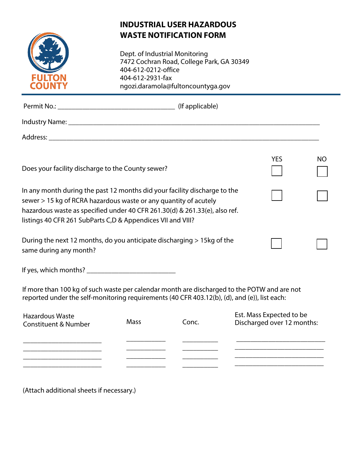

## **INDUSTRIAL USER HAZARDOUS WASTE NOTIFICATION FORM**

Dept. of Industrial Monitoring 7472 Cochran Road, College Park, GA 30349 404-612-0212-office 404-612-2931-fax ngozi.daramola@fultoncountyga.gov

| Does your facility discharge to the County sewer?                                                                                                                                                                                                                                          |             |       | <b>YES</b>               | NO.                        |  |  |
|--------------------------------------------------------------------------------------------------------------------------------------------------------------------------------------------------------------------------------------------------------------------------------------------|-------------|-------|--------------------------|----------------------------|--|--|
| In any month during the past 12 months did your facility discharge to the<br>sewer > 15 kg of RCRA hazardous waste or any quantity of acutely<br>hazardous waste as specified under 40 CFR 261.30(d) & 261.33(e), also ref.<br>listings 40 CFR 261 SubParts C,D & Appendices VII and VIII? |             |       |                          |                            |  |  |
| During the next 12 months, do you anticipate discharging > 15kg of the<br>same during any month?                                                                                                                                                                                           |             |       |                          |                            |  |  |
|                                                                                                                                                                                                                                                                                            |             |       |                          |                            |  |  |
| If more than 100 kg of such waste per calendar month are discharged to the POTW and are not<br>reported under the self-monitoring requirements (40 CFR 403.12(b), (d), and (e)), list each:                                                                                                |             |       |                          |                            |  |  |
| <b>Hazardous Waste</b><br><b>Constituent &amp; Number</b>                                                                                                                                                                                                                                  | <b>Mass</b> | Conc. | Est. Mass Expected to be | Discharged over 12 months: |  |  |
|                                                                                                                                                                                                                                                                                            |             |       |                          |                            |  |  |

\_\_\_\_\_\_\_\_\_\_ \_\_\_\_\_\_\_\_\_\_ \_\_\_\_\_\_\_\_\_\_\_\_\_\_\_\_\_\_\_\_\_\_\_\_\_ \_\_\_\_\_\_\_\_\_\_\_\_\_\_\_\_\_\_\_\_\_\_\_\_\_

\_\_\_\_\_\_\_\_\_\_\_ \_\_\_\_\_\_\_\_\_\_\_

(Attach additional sheets if necessary.)

\_\_\_\_\_\_\_\_\_\_\_\_\_\_\_\_\_\_\_\_\_\_ \_\_\_\_\_\_\_\_\_\_\_\_\_\_\_\_\_\_\_\_\_\_